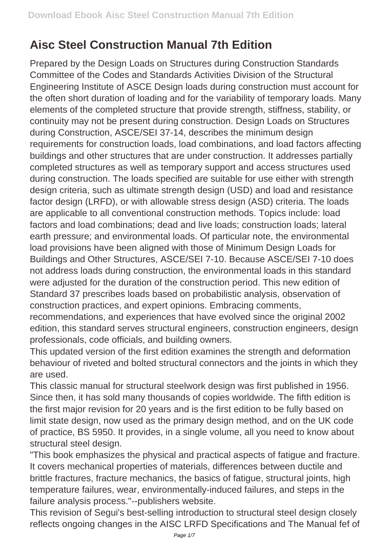## **Aisc Steel Construction Manual 7th Edition**

Prepared by the Design Loads on Structures during Construction Standards Committee of the Codes and Standards Activities Division of the Structural Engineering Institute of ASCE Design loads during construction must account for the often short duration of loading and for the variability of temporary loads. Many elements of the completed structure that provide strength, stiffness, stability, or continuity may not be present during construction. Design Loads on Structures during Construction, ASCE/SEI 37-14, describes the minimum design requirements for construction loads, load combinations, and load factors affecting buildings and other structures that are under construction. It addresses partially completed structures as well as temporary support and access structures used during construction. The loads specified are suitable for use either with strength design criteria, such as ultimate strength design (USD) and load and resistance factor design (LRFD), or with allowable stress design (ASD) criteria. The loads are applicable to all conventional construction methods. Topics include: load factors and load combinations; dead and live loads; construction loads; lateral earth pressure; and environmental loads. Of particular note, the environmental load provisions have been aligned with those of Minimum Design Loads for Buildings and Other Structures, ASCE/SEI 7-10. Because ASCE/SEI 7-10 does not address loads during construction, the environmental loads in this standard were adjusted for the duration of the construction period. This new edition of Standard 37 prescribes loads based on probabilistic analysis, observation of construction practices, and expert opinions. Embracing comments,

recommendations, and experiences that have evolved since the original 2002 edition, this standard serves structural engineers, construction engineers, design professionals, code officials, and building owners.

This updated version of the first edition examines the strength and deformation behaviour of riveted and bolted structural connectors and the joints in which they are used.

This classic manual for structural steelwork design was first published in 1956. Since then, it has sold many thousands of copies worldwide. The fifth edition is the first major revision for 20 years and is the first edition to be fully based on limit state design, now used as the primary design method, and on the UK code of practice, BS 5950. It provides, in a single volume, all you need to know about structural steel design.

"This book emphasizes the physical and practical aspects of fatigue and fracture. It covers mechanical properties of materials, differences between ductile and brittle fractures, fracture mechanics, the basics of fatigue, structural joints, high temperature failures, wear, environmentally-induced failures, and steps in the failure analysis process."--publishers website.

This revision of Segui's best-selling introduction to structural steel design closely reflects ongoing changes in the AISC LRFD Specifications and The Manual fef of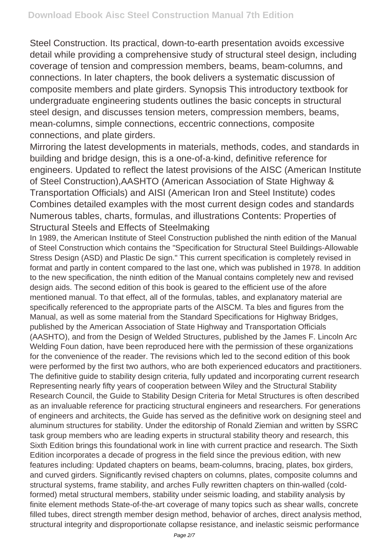Steel Construction. Its practical, down-to-earth presentation avoids excessive detail while providing a comprehensive study of structural steel design, including coverage of tension and compression members, beams, beam-columns, and connections. In later chapters, the book delivers a systematic discussion of composite members and plate girders. Synopsis This introductory textbook for undergraduate engineering students outlines the basic concepts in structural steel design, and discusses tension meters, compression members, beams, mean-columns, simple connections, eccentric connections, composite connections, and plate girders.

Mirroring the latest developments in materials, methods, codes, and standards in building and bridge design, this is a one-of-a-kind, definitive reference for engineers. Updated to reflect the latest provisions of the AISC (American Institute of Steel Construction),AASHTO (American Association of State Highway & Transportation Officials) and AISI (American Iron and Steel Institute) codes Combines detailed examples with the most current design codes and standards Numerous tables, charts, formulas, and illustrations Contents: Properties of Structural Steels and Effects of Steelmaking

In 1989, the American Institute of Steel Construction published the ninth edition of the Manual of Steel Construction which contains the "Specification for Structural Steel Buildings-Allowable Stress Design (ASD) and Plastic De sign." This current specification is completely revised in format and partly in content compared to the last one, which was published in 1978. In addition to the new specification, the ninth edition of the Manual contains completely new and revised design aids. The second edition of this book is geared to the efficient use of the afore mentioned manual. To that effect, all of the formulas, tables, and explanatory material are specifically referenced to the appropriate parts of the AISCM. Ta bles and figures from the Manual, as well as some material from the Standard Specifications for Highway Bridges, published by the American Association of State Highway and Transportation Officials (AASHTO), and from the Design of Welded Structures, published by the James F. Lincoln Arc Welding Foun dation, have been reproduced here with the permission of these organizations for the convenience of the reader. The revisions which led to the second edition of this book were performed by the first two authors, who are both experienced educators and practitioners. The definitive guide to stability design criteria, fully updated and incorporating current research Representing nearly fifty years of cooperation between Wiley and the Structural Stability Research Council, the Guide to Stability Design Criteria for Metal Structures is often described as an invaluable reference for practicing structural engineers and researchers. For generations of engineers and architects, the Guide has served as the definitive work on designing steel and aluminum structures for stability. Under the editorship of Ronald Ziemian and written by SSRC task group members who are leading experts in structural stability theory and research, this Sixth Edition brings this foundational work in line with current practice and research. The Sixth Edition incorporates a decade of progress in the field since the previous edition, with new features including: Updated chapters on beams, beam-columns, bracing, plates, box girders, and curved girders. Significantly revised chapters on columns, plates, composite columns and structural systems, frame stability, and arches Fully rewritten chapters on thin-walled (coldformed) metal structural members, stability under seismic loading, and stability analysis by finite element methods State-of-the-art coverage of many topics such as shear walls, concrete filled tubes, direct strength member design method, behavior of arches, direct analysis method, structural integrity and disproportionate collapse resistance, and inelastic seismic performance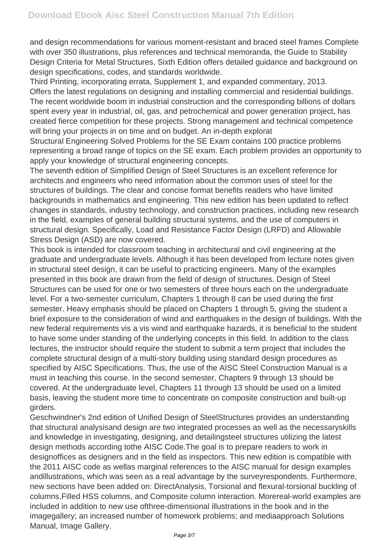and design recommendations for various moment-resistant and braced steel frames Complete with over 350 illustrations, plus references and technical memoranda, the Guide to Stability Design Criteria for Metal Structures, Sixth Edition offers detailed guidance and background on design specifications, codes, and standards worldwide.

Third Printing, incorporating errata, Supplement 1, and expanded commentary, 2013. Offers the latest regulations on designing and installing commercial and residential buildings. The recent worldwide boom in industrial construction and the corresponding billions of dollars spent every year in industrial, oil, gas, and petrochemical and power generation project, has created fierce competition for these projects. Strong management and technical competence will bring your projects in on time and on budget. An in-depth explorat

Structural Engineering Solved Problems for the SE Exam contains 100 practice problems representing a broad range of topics on the SE exam. Each problem provides an opportunity to apply your knowledge of structural engineering concepts.

The seventh edition of Simplified Design of Steel Structures is an excellent reference for architects and engineers who need information about the common uses of steel for the structures of buildings. The clear and concise format benefits readers who have limited backgrounds in mathematics and engineering. This new edition has been updated to reflect changes in standards, industry technology, and construction practices, including new research in the field, examples of general building structural systems, and the use of computers in structural design. Specifically, Load and Resistance Factor Design (LRFD) and Allowable Stress Design (ASD) are now covered.

This book is intended for classroom teaching in architectural and civil engineering at the graduate and undergraduate levels. Although it has been developed from lecture notes given in structural steel design, it can be useful to practicing engineers. Many of the examples presented in this book are drawn from the field of design of structures. Design of Steel Structures can be used for one or two semesters of three hours each on the undergraduate level. For a two-semester curriculum, Chapters 1 through 8 can be used during the first semester. Heavy emphasis should be placed on Chapters 1 through 5, giving the student a brief exposure to the consideration of wind and earthquakes in the design of buildings. With the new federal requirements vis a vis wind and earthquake hazards, it is beneficial to the student to have some under standing of the underlying concepts in this field. In addition to the class lectures, the instructor should require the student to submit a term project that includes the complete structural design of a multi-story building using standard design procedures as specified by AISC Specifications. Thus, the use of the AISC Steel Construction Manual is a must in teaching this course. In the second semester, Chapters 9 through 13 should be covered. At the undergraduate level, Chapters 11 through 13 should be used on a limited basis, leaving the student more time to concentrate on composite construction and built-up girders.

Geschwindner's 2nd edition of Unified Design of SteelStructures provides an understanding that structural analysisand design are two integrated processes as well as the necessaryskills and knowledge in investigating, designing, and detailingsteel structures utilizing the latest design methods according tothe AISC Code.The goal is to prepare readers to work in designoffices as designers and in the field as inspectors. This new edition is compatible with the 2011 AISC code as wellas marginal references to the AISC manual for design examples andillustrations, which was seen as a real advantage by the surveyrespondents. Furthermore, new sections have been added on: DirectAnalysis, Torsional and flexural-torsional buckling of columns,Filled HSS columns, and Composite column interaction. Morereal-world examples are included in addition to new use ofthree-dimensional illustrations in the book and in the imagegallery; an increased number of homework problems; and mediaapproach Solutions Manual, Image Gallery.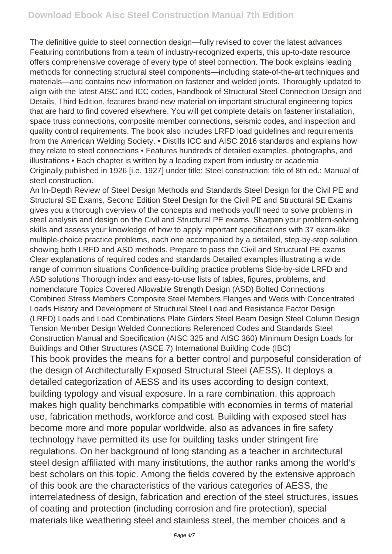The definitive guide to steel connection design—fully revised to cover the latest advances Featuring contributions from a team of industry-recognized experts, this up-to-date resource offers comprehensive coverage of every type of steel connection. The book explains leading methods for connecting structural steel components—including state-of-the-art techniques and materials—and contains new information on fastener and welded joints. Thoroughly updated to align with the latest AISC and ICC codes, Handbook of Structural Steel Connection Design and Details, Third Edition, features brand-new material on important structural engineering topics that are hard to find covered elsewhere. You will get complete details on fastener installation, space truss connections, composite member connections, seismic codes, and inspection and quality control requirements. The book also includes LRFD load guidelines and requirements from the American Welding Society. • Distills ICC and AISC 2016 standards and explains how they relate to steel connections • Features hundreds of detailed examples, photographs, and illustrations • Each chapter is written by a leading expert from industry or academia Originally published in 1926 [i.e. 1927] under title: Steel construction; title of 8th ed.: Manual of steel construction.

An In-Depth Review of Steel Design Methods and Standards Steel Design for the Civil PE and Structural SE Exams, Second Edition Steel Design for the Civil PE and Structural SE Exams gives you a thorough overview of the concepts and methods you'll need to solve problems in steel analysis and design on the Civil and Structural PE exams. Sharpen your problem-solving skills and assess your knowledge of how to apply important specifications with 37 exam-like, multiple-choice practice problems, each one accompanied by a detailed, step-by-step solution showing both LRFD and ASD methods. Prepare to pass the Civil and Structural PE exams Clear explanations of required codes and standards Detailed examples illustrating a wide range of common situations Confidence-building practice problems Side-by-side LRFD and ASD solutions Thorough index and easy-to-use lists of tables, figures, problems, and nomenclature Topics Covered Allowable Strength Design (ASD) Bolted Connections Combined Stress Members Composite Steel Members Flanges and Weds with Concentrated Loads History and Development of Structural Steel Load and Resistance Factor Design (LRFD) Loads and Load Combinations Plate Girders Steel Beam Design Steel Column Design Tension Member Design Welded Connections Referenced Codes and Standards Steel Construction Manual and Specification (AISC 325 and AISC 360) Minimum Design Loads for Buildings and Other Structures (ASCE 7) International Building Code (IBC) This book provides the means for a better control and purposeful consideration of the design of Architecturally Exposed Structural Steel (AESS). It deploys a detailed categorization of AESS and its uses according to design context, building typology and visual exposure. In a rare combination, this approach makes high quality benchmarks compatible with economies in terms of material use, fabrication methods, workforce and cost. Building with exposed steel has become more and more popular worldwide, also as advances in fire safety technology have permitted its use for building tasks under stringent fire regulations. On her background of long standing as a teacher in architectural steel design affiliated with many institutions, the author ranks among the world's best scholars on this topic. Among the fields covered by the extensive approach of this book are the characteristics of the various categories of AESS, the interrelatedness of design, fabrication and erection of the steel structures, issues of coating and protection (including corrosion and fire protection), special materials like weathering steel and stainless steel, the member choices and a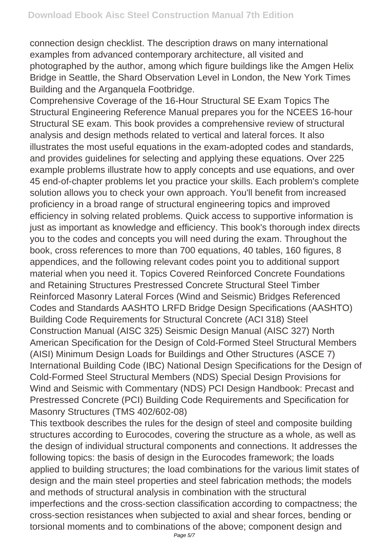connection design checklist. The description draws on many international examples from advanced contemporary architecture, all visited and photographed by the author, among which figure buildings like the Amgen Helix Bridge in Seattle, the Shard Observation Level in London, the New York Times Building and the Arganquela Footbridge.

Comprehensive Coverage of the 16-Hour Structural SE Exam Topics The Structural Engineering Reference Manual prepares you for the NCEES 16-hour Structural SE exam. This book provides a comprehensive review of structural analysis and design methods related to vertical and lateral forces. It also illustrates the most useful equations in the exam-adopted codes and standards, and provides guidelines for selecting and applying these equations. Over 225 example problems illustrate how to apply concepts and use equations, and over 45 end-of-chapter problems let you practice your skills. Each problem's complete solution allows you to check your own approach. You'll benefit from increased proficiency in a broad range of structural engineering topics and improved efficiency in solving related problems. Quick access to supportive information is just as important as knowledge and efficiency. This book's thorough index directs you to the codes and concepts you will need during the exam. Throughout the book, cross references to more than 700 equations, 40 tables, 160 figures, 8 appendices, and the following relevant codes point you to additional support material when you need it. Topics Covered Reinforced Concrete Foundations and Retaining Structures Prestressed Concrete Structural Steel Timber Reinforced Masonry Lateral Forces (Wind and Seismic) Bridges Referenced Codes and Standards AASHTO LRFD Bridge Design Specifications (AASHTO) Building Code Requirements for Structural Concrete (ACI 318) Steel Construction Manual (AISC 325) Seismic Design Manual (AISC 327) North American Specification for the Design of Cold-Formed Steel Structural Members (AISI) Minimum Design Loads for Buildings and Other Structures (ASCE 7) International Building Code (IBC) National Design Specifications for the Design of Cold-Formed Steel Structural Members (NDS) Special Design Provisions for Wind and Seismic with Commentary (NDS) PCI Design Handbook: Precast and Prestressed Concrete (PCI) Building Code Requirements and Specification for Masonry Structures (TMS 402/602-08)

This textbook describes the rules for the design of steel and composite building structures according to Eurocodes, covering the structure as a whole, as well as the design of individual structural components and connections. It addresses the following topics: the basis of design in the Eurocodes framework; the loads applied to building structures; the load combinations for the various limit states of design and the main steel properties and steel fabrication methods; the models and methods of structural analysis in combination with the structural imperfections and the cross-section classification according to compactness; the cross-section resistances when subjected to axial and shear forces, bending or torsional moments and to combinations of the above; component design and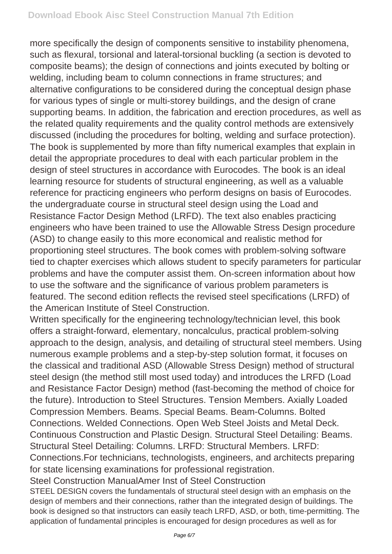more specifically the design of components sensitive to instability phenomena, such as flexural, torsional and lateral-torsional buckling (a section is devoted to composite beams); the design of connections and joints executed by bolting or welding, including beam to column connections in frame structures; and alternative configurations to be considered during the conceptual design phase for various types of single or multi-storey buildings, and the design of crane supporting beams. In addition, the fabrication and erection procedures, as well as the related quality requirements and the quality control methods are extensively discussed (including the procedures for bolting, welding and surface protection). The book is supplemented by more than fifty numerical examples that explain in detail the appropriate procedures to deal with each particular problem in the design of steel structures in accordance with Eurocodes. The book is an ideal learning resource for students of structural engineering, as well as a valuable reference for practicing engineers who perform designs on basis of Eurocodes. the undergraduate course in structural steel design using the Load and Resistance Factor Design Method (LRFD). The text also enables practicing engineers who have been trained to use the Allowable Stress Design procedure (ASD) to change easily to this more economical and realistic method for proportioning steel structures. The book comes with problem-solving software tied to chapter exercises which allows student to specify parameters for particular problems and have the computer assist them. On-screen information about how to use the software and the significance of various problem parameters is featured. The second edition reflects the revised steel specifications (LRFD) of the American Institute of Steel Construction.

Written specifically for the engineering technology/technician level, this book offers a straight-forward, elementary, noncalculus, practical problem-solving approach to the design, analysis, and detailing of structural steel members. Using numerous example problems and a step-by-step solution format, it focuses on the classical and traditional ASD (Allowable Stress Design) method of structural steel design (the method still most used today) and introduces the LRFD (Load and Resistance Factor Design) method (fast-becoming the method of choice for the future). Introduction to Steel Structures. Tension Members. Axially Loaded Compression Members. Beams. Special Beams. Beam-Columns. Bolted Connections. Welded Connections. Open Web Steel Joists and Metal Deck. Continuous Construction and Plastic Design. Structural Steel Detailing: Beams. Structural Steel Detailing: Columns. LRFD: Structural Members. LRFD: Connections.For technicians, technologists, engineers, and architects preparing for state licensing examinations for professional registration.

Steel Construction ManualAmer Inst of Steel Construction

STEEL DESIGN covers the fundamentals of structural steel design with an emphasis on the design of members and their connections, rather than the integrated design of buildings. The book is designed so that instructors can easily teach LRFD, ASD, or both, time-permitting. The application of fundamental principles is encouraged for design procedures as well as for